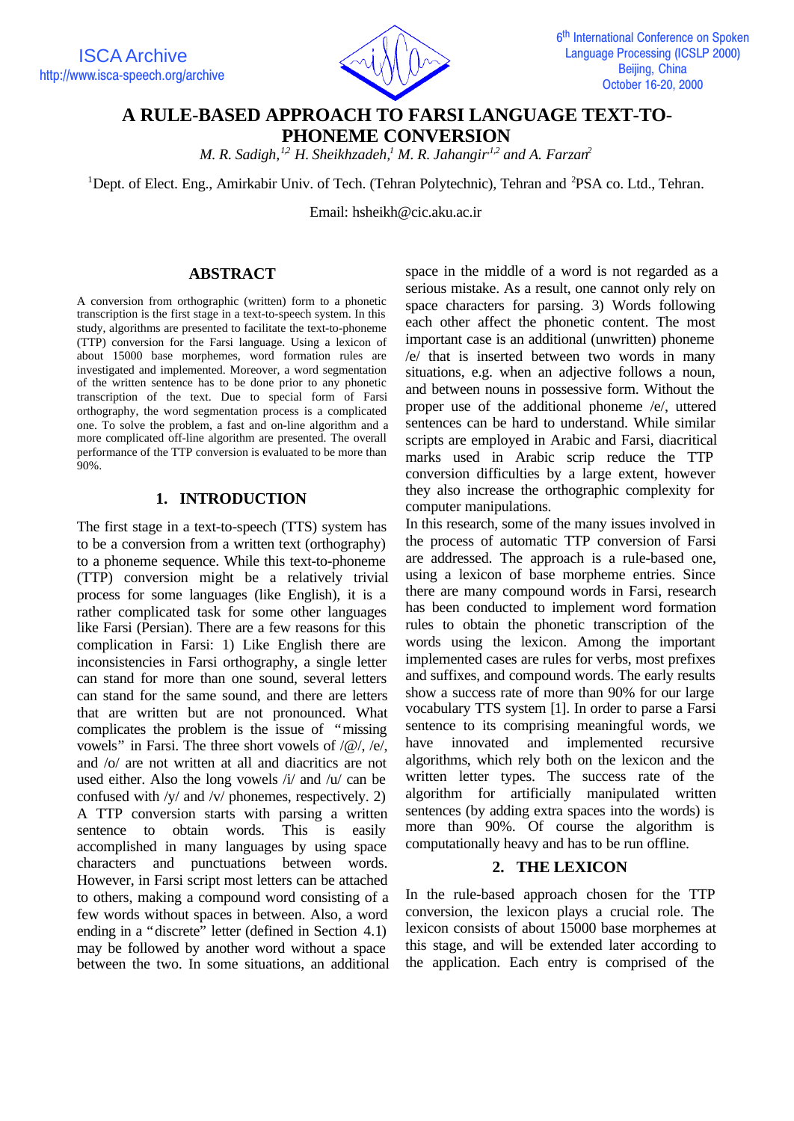

# **A RULE-BASED APPROACH TO FARSI LANGUAGE TEXT-TO-PHONEME CONVERSION**

*M. R. Sadigh,1,2 H. Sheikhzadeh,<sup>1</sup> M. R. Jahangir,1,2 and A. Farzan<sup>2</sup>*

<sup>1</sup>Dept. of Elect. Eng., Amirkabir Univ. of Tech. (Tehran Polytechnic), Tehran and <sup>2</sup>PSA co. Ltd., Tehran.

Email: hsheikh@cic.aku.ac.ir

### **ABSTRACT**

A conversion from orthographic (written) form to a phonetic transcription is the first stage in a text-to-speech system. In this study, algorithms are presented to facilitate the text-to-phoneme (TTP) conversion for the Farsi language. Using a lexicon of about 15000 base morphemes, word formation rules are investigated and implemented. Moreover, a word segmentation of the written sentence has to be done prior to any phonetic transcription of the text. Due to special form of Farsi orthography, the word segmentation process is a complicated one. To solve the problem, a fast and on-line algorithm and a more complicated off-line algorithm are presented. The overall performance of the TTP conversion is evaluated to be more than 90%.

#### **1. INTRODUCTION**

The first stage in a text-to-speech (TTS) system has to be a conversion from a written text (orthography) to a phoneme sequence. While this text-to-phoneme (TTP) conversion might be a relatively trivial process for some languages (like English), it is a rather complicated task for some other languages like Farsi (Persian). There are a few reasons for this complication in Farsi: 1) Like English there are inconsistencies in Farsi orthography, a single letter can stand for more than one sound, several letters can stand for the same sound, and there are letters that are written but are not pronounced. What complicates the problem is the issue of "missing vowels" in Farsi. The three short vowels of /@/, /e/, and /o/ are not written at all and diacritics are not used either. Also the long vowels /i/ and /u/ can be confused with /y/ and /v/ phonemes, respectively. 2) A TTP conversion starts with parsing a written sentence to obtain words. This is easily accomplished in many languages by using space characters and punctuations between words. However, in Farsi script most letters can be attached to others, making a compound word consisting of a few words without spaces in between. Also, a word ending in a "discrete" letter (defined in Section 4.1) may be followed by another word without a space between the two. In some situations, an additional space in the middle of a word is not regarded as a serious mistake. As a result, one cannot only rely on space characters for parsing. 3) Words following each other affect the phonetic content. The most important case is an additional (unwritten) phoneme /e/ that is inserted between two words in many situations, e.g. when an adjective follows a noun, and between nouns in possessive form. Without the proper use of the additional phoneme /e/, uttered sentences can be hard to understand. While similar scripts are employed in Arabic and Farsi, diacritical marks used in Arabic scrip reduce the TTP conversion difficulties by a large extent, however they also increase the orthographic complexity for computer manipulations.

In this research, some of the many issues involved in the process of automatic TTP conversion of Farsi are addressed. The approach is a rule-based one, using a lexicon of base morpheme entries. Since there are many compound words in Farsi, research has been conducted to implement word formation rules to obtain the phonetic transcription of the words using the lexicon. Among the important implemented cases are rules for verbs, most prefixes and suffixes, and compound words. The early results show a success rate of more than 90% for our large vocabulary TTS system [1]. In order to parse a Farsi sentence to its comprising meaningful words, we have innovated and implemented recursive algorithms, which rely both on the lexicon and the written letter types. The success rate of the algorithm for artificially manipulated written sentences (by adding extra spaces into the words) is more than 90%. Of course the algorithm is computationally heavy and has to be run offline.

# **2. THE LEXICON**

In the rule-based approach chosen for the TTP conversion, the lexicon plays a crucial role. The lexicon consists of about 15000 base morphemes at this stage, and will be extended later according to the application. Each entry is comprised of the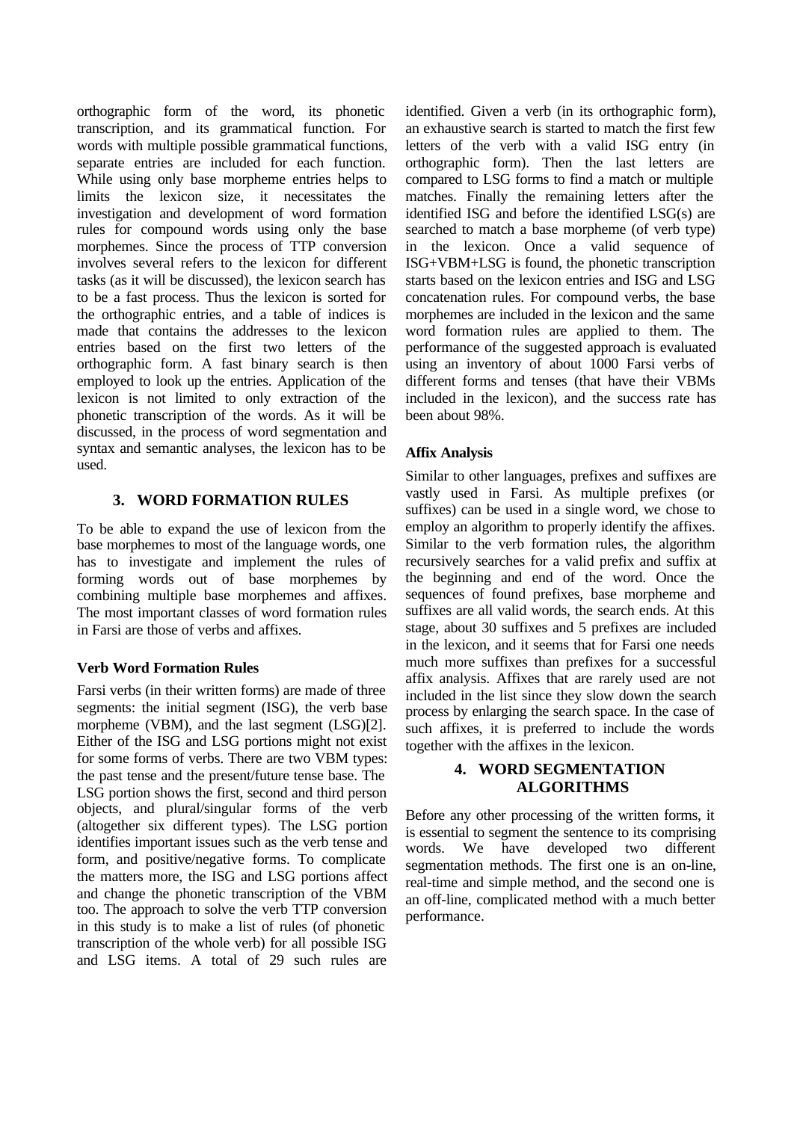orthographic form of the word, its phonetic transcription, and its grammatical function. For words with multiple possible grammatical functions, separate entries are included for each function. While using only base morpheme entries helps to limits the lexicon size, it necessitates the investigation and development of word formation rules for compound words using only the base morphemes. Since the process of TTP conversion involves several refers to the lexicon for different tasks (as it will be discussed), the lexicon search has to be a fast process. Thus the lexicon is sorted for the orthographic entries, and a table of indices is made that contains the addresses to the lexicon entries based on the first two letters of the orthographic form. A fast binary search is then employed to look up the entries. Application of the lexicon is not limited to only extraction of the phonetic transcription of the words. As it will be discussed, in the process of word segmentation and syntax and semantic analyses, the lexicon has to be used.

# **3. WORD FORMATION RULES**

To be able to expand the use of lexicon from the base morphemes to most of the language words, one has to investigate and implement the rules of forming words out of base morphemes by combining multiple base morphemes and affixes. The most important classes of word formation rules in Farsi are those of verbs and affixes.

# **Verb Word Formation Rules**

Farsi verbs (in their written forms) are made of three segments: the initial segment (ISG), the verb base morpheme (VBM), and the last segment (LSG)[2]. Either of the ISG and LSG portions might not exist for some forms of verbs. There are two VBM types: the past tense and the present/future tense base. The LSG portion shows the first, second and third person objects, and plural/singular forms of the verb (altogether six different types). The LSG portion identifies important issues such as the verb tense and form, and positive/negative forms. To complicate the matters more, the ISG and LSG portions affect and change the phonetic transcription of the VBM too. The approach to solve the verb TTP conversion in this study is to make a list of rules (of phonetic transcription of the whole verb) for all possible ISG and LSG items. A total of 29 such rules are

identified. Given a verb (in its orthographic form), an exhaustive search is started to match the first few letters of the verb with a valid ISG entry (in orthographic form). Then the last letters are compared to LSG forms to find a match or multiple matches. Finally the remaining letters after the identified ISG and before the identified LSG(s) are searched to match a base morpheme (of verb type) in the lexicon. Once a valid sequence of ISG+VBM+LSG is found, the phonetic transcription starts based on the lexicon entries and ISG and LSG concatenation rules. For compound verbs, the base morphemes are included in the lexicon and the same word formation rules are applied to them. The performance of the suggested approach is evaluated using an inventory of about 1000 Farsi verbs of different forms and tenses (that have their VBMs included in the lexicon), and the success rate has been about 98%.

# **Affix Analysis**

Similar to other languages, prefixes and suffixes are vastly used in Farsi. As multiple prefixes (or suffixes) can be used in a single word, we chose to employ an algorithm to properly identify the affixes. Similar to the verb formation rules, the algorithm recursively searches for a valid prefix and suffix at the beginning and end of the word. Once the sequences of found prefixes, base morpheme and suffixes are all valid words, the search ends. At this stage, about 30 suffixes and 5 prefixes are included in the lexicon, and it seems that for Farsi one needs much more suffixes than prefixes for a successful affix analysis. Affixes that are rarely used are not included in the list since they slow down the search process by enlarging the search space. In the case of such affixes, it is preferred to include the words together with the affixes in the lexicon.

# **4. WORD SEGMENTATION ALGORITHMS**

Before any other processing of the written forms, it is essential to segment the sentence to its comprising words. We have developed two different segmentation methods. The first one is an on-line, real-time and simple method, and the second one is an off-line, complicated method with a much better performance.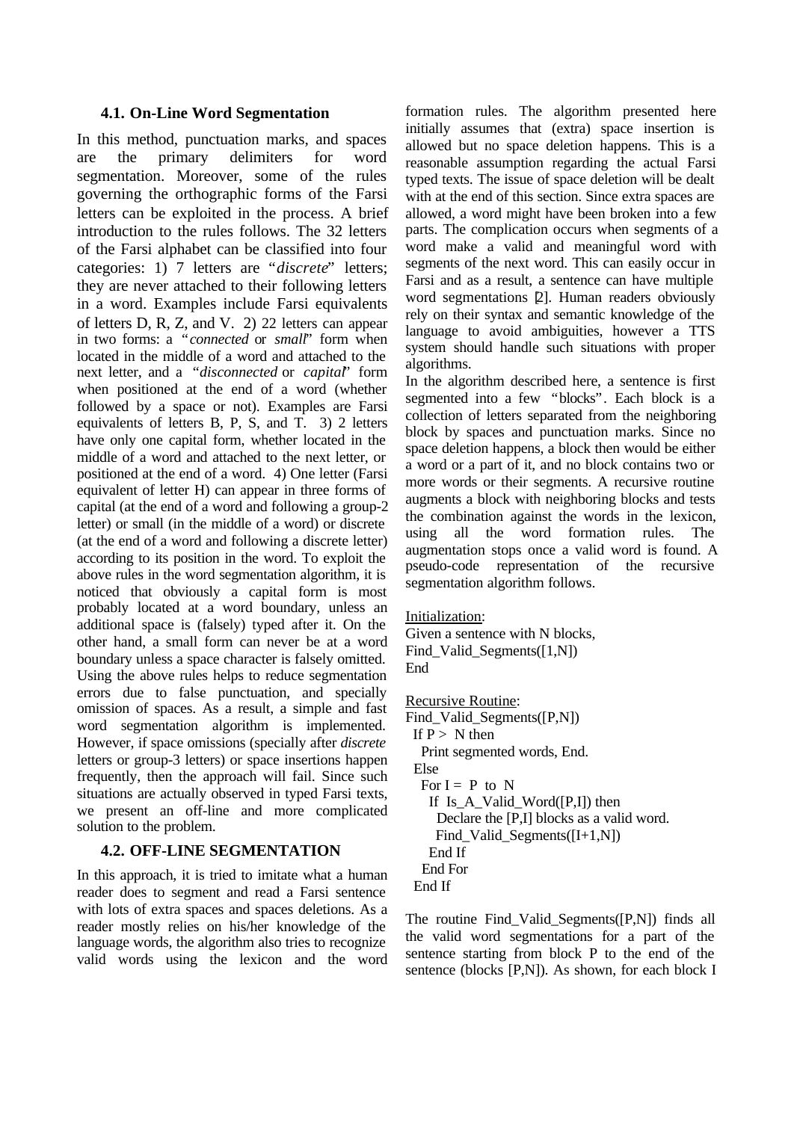#### **4.1. On-Line Word Segmentation**

In this method, punctuation marks, and spaces are the primary delimiters for word segmentation. Moreover, some of the rules governing the orthographic forms of the Farsi letters can be exploited in the process. A brief introduction to the rules follows. The 32 letters of the Farsi alphabet can be classified into four categories: 1) 7 letters are "*discrete*" letters; they are never attached to their following letters in a word. Examples include Farsi equivalents of letters D, R, Z, and V. 2) 22 letters can appear in two forms: a "*connected* or *small*" form when located in the middle of a word and attached to the next letter, and a "*disconnected* or *capital*" form when positioned at the end of a word (whether followed by a space or not). Examples are Farsi equivalents of letters B, P, S, and T. 3) 2 letters have only one capital form, whether located in the middle of a word and attached to the next letter, or positioned at the end of a word. 4) One letter (Farsi equivalent of letter H) can appear in three forms of capital (at the end of a word and following a group-2 letter) or small (in the middle of a word) or discrete (at the end of a word and following a discrete letter) according to its position in the word. To exploit the above rules in the word segmentation algorithm, it is noticed that obviously a capital form is most probably located at a word boundary, unless an additional space is (falsely) typed after it. On the other hand, a small form can never be at a word boundary unless a space character is falsely omitted. Using the above rules helps to reduce segmentation errors due to false punctuation, and specially omission of spaces. As a result, a simple and fast word segmentation algorithm is implemented. However, if space omissions (specially after *discrete* letters or group-3 letters) or space insertions happen frequently, then the approach will fail. Since such situations are actually observed in typed Farsi texts, we present an off-line and more complicated solution to the problem.

# **4.2. OFF-LINE SEGMENTATION**

In this approach, it is tried to imitate what a human reader does to segment and read a Farsi sentence with lots of extra spaces and spaces deletions. As a reader mostly relies on his/her knowledge of the language words, the algorithm also tries to recognize valid words using the lexicon and the word

formation rules. The algorithm presented here initially assumes that (extra) space insertion is allowed but no space deletion happens. This is a reasonable assumption regarding the actual Farsi typed texts. The issue of space deletion will be dealt with at the end of this section. Since extra spaces are allowed, a word might have been broken into a few parts. The complication occurs when segments of a word make a valid and meaningful word with segments of the next word. This can easily occur in Farsi and as a result, a sentence can have multiple word segmentations [2]. Human readers obviously rely on their syntax and semantic knowledge of the language to avoid ambiguities, however a TTS system should handle such situations with proper algorithms.

In the algorithm described here, a sentence is first segmented into a few "blocks". Each block is a collection of letters separated from the neighboring block by spaces and punctuation marks. Since no space deletion happens, a block then would be either a word or a part of it, and no block contains two or more words or their segments. A recursive routine augments a block with neighboring blocks and tests the combination against the words in the lexicon, using all the word formation rules. The augmentation stops once a valid word is found. A pseudo-code representation of the recursive segmentation algorithm follows.

#### Initialization:

Given a sentence with N blocks, Find\_Valid\_Segments([1,N]) End

#### Recursive Routine:

Find\_Valid\_Segments([P,N]) If  $P > N$  then Print segmented words, End. Else For  $I = P$  to N If Is\_A\_Valid\_Word([P,I]) then Declare the [P,I] blocks as a valid word. Find\_Valid\_Segments([I+1,N]) End If End For End If

The routine Find\_Valid\_Segments([P,N]) finds all the valid word segmentations for a part of the sentence starting from block P to the end of the sentence (blocks [P,N]). As shown, for each block I